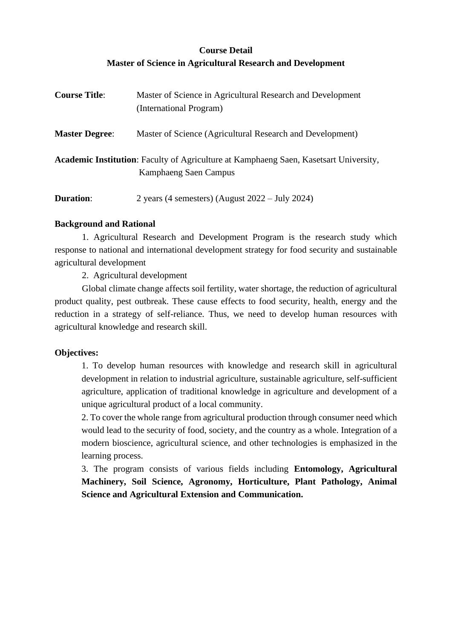# **Course Detail Master of Science in Agricultural Research and Development**

| <b>Course Title:</b>  | Master of Science in Agricultural Research and Development<br>(International Program)                                 |  |  |  |  |
|-----------------------|-----------------------------------------------------------------------------------------------------------------------|--|--|--|--|
| <b>Master Degree:</b> | Master of Science (Agricultural Research and Development)                                                             |  |  |  |  |
|                       | <b>Academic Institution:</b> Faculty of Agriculture at Kamphaeng Saen, Kasetsart University,<br>Kamphaeng Saen Campus |  |  |  |  |
| <b>Duration:</b>      | 2 years (4 semesters) (August $2022 - \text{July } 2024$ )                                                            |  |  |  |  |

# **Background and Rational**

1. Agricultural Research and Development Program is the research study which response to national and international development strategy for food security and sustainable agricultural development

2. Agricultural development

Global climate change affects soil fertility, water shortage, the reduction of agricultural product quality, pest outbreak. These cause effects to food security, health, energy and the reduction in a strategy of self-reliance. Thus, we need to develop human resources with agricultural knowledge and research skill.

# **Objectives:**

1. To develop human resources with knowledge and research skill in agricultural development in relation to industrial agriculture, sustainable agriculture, self-sufficient agriculture, application of traditional knowledge in agriculture and development of a unique agricultural product of a local community.

2. To cover the whole range from agricultural production through consumer need which would lead to the security of food, society, and the country as a whole. Integration of a modern bioscience, agricultural science, and other technologies is emphasized in the learning process.

3. The program consists of various fields including **Entomology, Agricultural Machinery, Soil Science, Agronomy, Horticulture, Plant Pathology, Animal Science and Agricultural Extension and Communication.**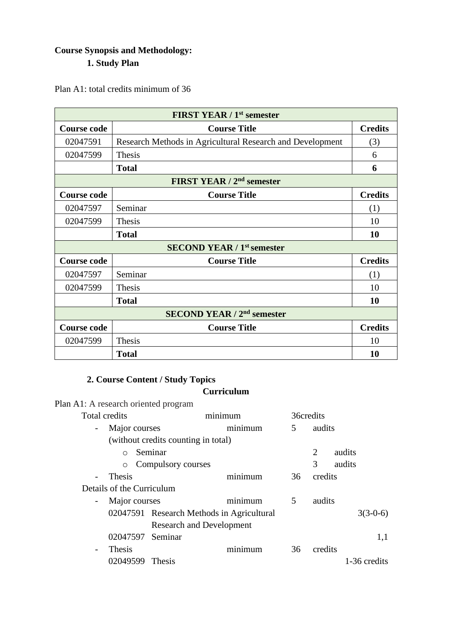# **Course Synopsis and Methodology: 1. Study Plan**

Plan A1: total credits minimum of 36

|                    | <b>FIRST YEAR / 1st semester</b>                          |                |
|--------------------|-----------------------------------------------------------|----------------|
| <b>Course code</b> | <b>Course Title</b>                                       | <b>Credits</b> |
| 02047591           | Research Methods in Agricultural Research and Development | (3)            |
| 02047599           | Thesis                                                    | 6              |
|                    | <b>Total</b>                                              | 6              |
|                    | FIRST YEAR / 2 <sup>nd</sup> semester                     |                |
| <b>Course code</b> | <b>Course Title</b>                                       | <b>Credits</b> |
| 02047597           | Seminar                                                   | (1)            |
| 02047599           | Thesis                                                    | 10             |
|                    | <b>Total</b>                                              | 10             |
|                    | <b>SECOND YEAR / 1st semester</b>                         |                |
| <b>Course code</b> | <b>Course Title</b>                                       | <b>Credits</b> |
| 02047597           | Seminar                                                   | (1)            |
| 02047599           | Thesis                                                    | 10             |
|                    | <b>Total</b>                                              | 10             |
|                    | <b>SECOND YEAR / 2<sup>nd</sup> semester</b>              |                |
| <b>Course code</b> | <b>Course Title</b>                                       | <b>Credits</b> |
| 02047599           | Thesis                                                    | 10             |
|                    | <b>Total</b>                                              | 10             |

# **2. Course Content / Study Topics**

# **Curriculum**

| Plan A1: A research oriented program      |                                     |         |    |           |              |
|-------------------------------------------|-------------------------------------|---------|----|-----------|--------------|
| <b>Total credits</b>                      |                                     | minimum |    | 36credits |              |
| Major courses<br>$\overline{\phantom{a}}$ |                                     | minimum | 5  | audits    |              |
|                                           | (without credits counting in total) |         |    |           |              |
| $\bigcirc$                                | Seminar                             |         |    | 2         | audits       |
| Compulsory courses<br>$\circ$             |                                     |         | 3  | audits    |              |
| Thesis<br>$\overline{\phantom{0}}$        |                                     | minimum | 36 | credits   |              |
| Details of the Curriculum                 |                                     |         |    |           |              |
| Major courses<br>$\overline{\phantom{a}}$ |                                     | minimum | 5  | audits    |              |
| 02047591 Research Methods in Agricultural |                                     |         |    |           | $3(3-0-6)$   |
|                                           |                                     |         |    |           |              |
| 02047597                                  | Seminar                             |         |    |           | 1,1          |
| <b>Thesis</b><br>$\overline{\phantom{a}}$ |                                     | minimum | 36 | credits   |              |
| 02049599                                  | <b>Thesis</b>                       |         |    |           | 1-36 credits |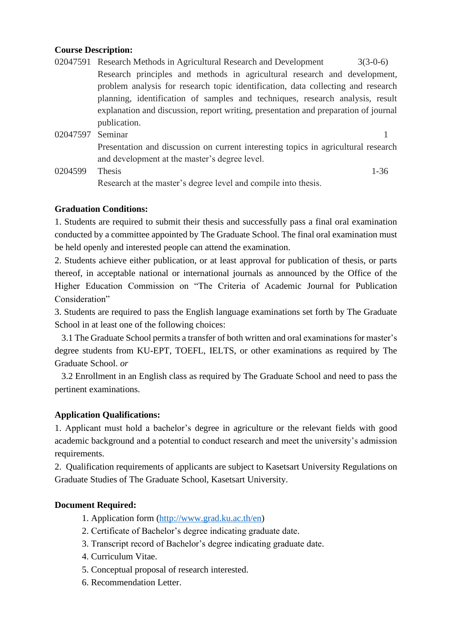#### **Course Description:**

- 02047591 Research Methods in Agricultural Research and Development 3(3-0-6) Research principles and methods in agricultural research and development, problem analysis for research topic identification, data collecting and research planning, identification of samples and techniques, research analysis, result explanation and discussion, report writing, presentation and preparation of journal publication.
- 02047597 Seminar 1 Presentation and discussion on current interesting topics in agricultural research and development at the master's degree level.
- 0204599 Thesis 1-36 Research at the master's degree level and compile into thesis.

# **Graduation Conditions:**

1. Students are required to submit their thesis and successfully pass a final oral examination conducted by a committee appointed by The Graduate School. The final oral examination must be held openly and interested people can attend the examination.

2. Students achieve either publication, or at least approval for publication of thesis, or parts thereof, in acceptable national or international journals as announced by the Office of the Higher Education Commission on "The Criteria of Academic Journal for Publication Consideration"

3. Students are required to pass the English language examinations set forth by The Graduate School in at least one of the following choices:

 3.1 The Graduate School permits a transfer of both written and oral examinations for master's degree students from KU-EPT, TOEFL, IELTS, or other examinations as required by The Graduate School. *or*

 3.2 Enrollment in an English class as required by The Graduate School and need to pass the pertinent examinations.

# **Application Qualifications:**

1. Applicant must hold a bachelor's degree in agriculture or the relevant fields with good academic background and a potential to conduct research and meet the university's admission requirements.

2. Qualification requirements of applicants are subject to Kasetsart University Regulations on Graduate Studies of The Graduate School, Kasetsart University.

# **Document Required:**

- 1. Application form [\(http://www.grad.ku.ac.th/en\)](http://www.grad.ku.ac.th/en)
- 2. Certificate of Bachelor's degree indicating graduate date.
- 3. Transcript record of Bachelor's degree indicating graduate date.
- 4. Curriculum Vitae.
- 5. Conceptual proposal of research interested.
- 6. Recommendation Letter.